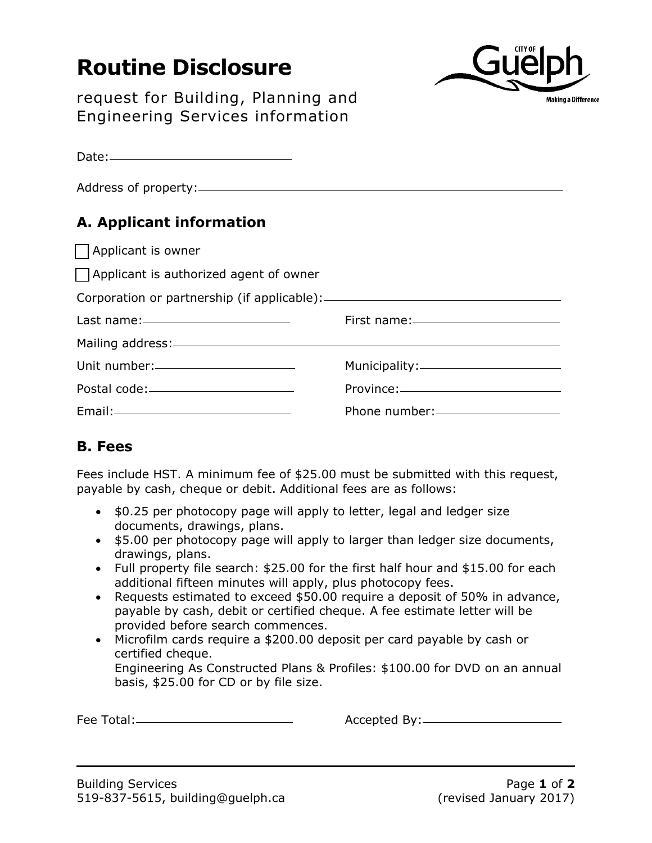## **Routine Disclosure**



request for Building, Planning and Engineering Services information

| $\text{Date:}\n \begin{picture}(25,20) \put(0,0){\dashbox{0.5}(20,0){ }} \put(15,0){\dashbox{0.5}(20,0){ }} \put(25,0){\dashbox{0.5}(20,0){ }} \put(35,0){\dashbox{0.5}(20,0){ }} \put(45,0){\dashbox{0.5}(20,0){ }} \put(55,0){\dashbox{0.5}(20,0){ }} \put(65,0){\dashbox{0.5}(20,0){ }} \put(65,0){\dashbox{0.5}(20,0){ }} \put(65,0){\dashbox{0.5}(20,0){ }} \put(65$ |                |
|---------------------------------------------------------------------------------------------------------------------------------------------------------------------------------------------------------------------------------------------------------------------------------------------------------------------------------------------------------------------------|----------------|
|                                                                                                                                                                                                                                                                                                                                                                           |                |
| A. Applicant information                                                                                                                                                                                                                                                                                                                                                  |                |
| Applicant is owner                                                                                                                                                                                                                                                                                                                                                        |                |
| $\Box$ Applicant is authorized agent of owner                                                                                                                                                                                                                                                                                                                             |                |
|                                                                                                                                                                                                                                                                                                                                                                           |                |
| Last name: <u>_________________________________</u>                                                                                                                                                                                                                                                                                                                       |                |
| Mailing address: Mailing address: Mailing and Mailing and Mailing and Mailing and Mailing and Mailing and Mailing and Mailing and Mailing and Mailing and Mailing and Mailing and Mailing and Mailing and Mailing and Mailing                                                                                                                                             |                |
| Unit number:_________________________                                                                                                                                                                                                                                                                                                                                     |                |
|                                                                                                                                                                                                                                                                                                                                                                           |                |
|                                                                                                                                                                                                                                                                                                                                                                           | Phone number:- |

## **B. Fees**

Fees include HST. A minimum fee of \$25.00 must be submitted with this request, payable by cash, cheque or debit. Additional fees are as follows:

- \$0.25 per photocopy page will apply to letter, legal and ledger size documents, drawings, plans.
- \$5.00 per photocopy page will apply to larger than ledger size documents, drawings, plans.
- Full property file search: \$25.00 for the first half hour and \$15.00 for each additional fifteen minutes will apply, plus photocopy fees.
- Requests estimated to exceed \$50.00 require a deposit of 50% in advance, payable by cash, debit or certified cheque. A fee estimate letter will be provided before search commences.
- Microfilm cards require a \$200.00 deposit per card payable by cash or certified cheque. Engineering As Constructed Plans & Profiles: \$100.00 for DVD on an annual basis, \$25.00 for CD or by file size.

Fee Total: Accepted By: